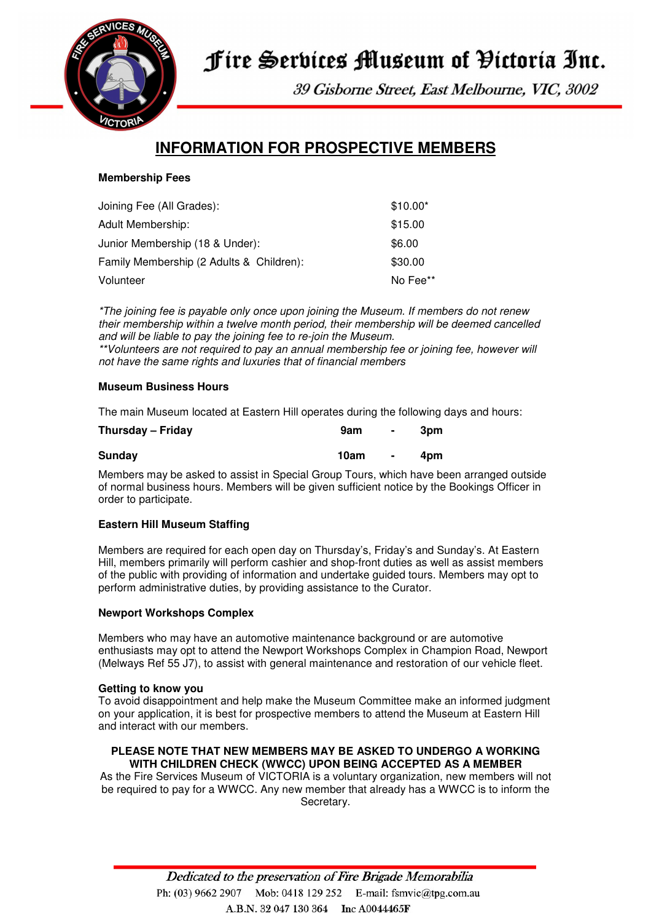

# Fire Services Museum of Pictoria Inc.

39 Gisborne Street, East Melbourne, VIC, 3002

## **INFORMATION FOR PROSPECTIVE MEMBERS**

#### **Membership Fees**

| Joining Fee (All Grades):                | $$10.00*$ |
|------------------------------------------|-----------|
| <b>Adult Membership:</b>                 | \$15.00   |
| Junior Membership (18 & Under):          | \$6.00    |
| Family Membership (2 Adults & Children): | \$30.00   |
| Volunteer                                | No Fee**  |

\*The joining fee is payable only once upon joining the Museum. If members do not renew their membership within a twelve month period, their membership will be deemed cancelled and will be liable to pay the joining fee to re-join the Museum. \*\*Volunteers are not required to pay an annual membership fee or joining fee, however will not have the same rights and luxuries that of financial members

#### **Museum Business Hours**

The main Museum located at Eastern Hill operates during the following days and hours:

| Thursday - Friday | 9am  | $\blacksquare$ | 3pm |
|-------------------|------|----------------|-----|
| Sunday            | 10am | $\blacksquare$ | 4pm |

Members may be asked to assist in Special Group Tours, which have been arranged outside of normal business hours. Members will be given sufficient notice by the Bookings Officer in order to participate.

#### **Eastern Hill Museum Staffing**

Members are required for each open day on Thursday's, Friday's and Sunday's. At Eastern Hill, members primarily will perform cashier and shop-front duties as well as assist members of the public with providing of information and undertake guided tours. Members may opt to perform administrative duties, by providing assistance to the Curator.

#### **Newport Workshops Complex**

Members who may have an automotive maintenance background or are automotive enthusiasts may opt to attend the Newport Workshops Complex in Champion Road, Newport (Melways Ref 55 J7), to assist with general maintenance and restoration of our vehicle fleet.

#### **Getting to know you**

To avoid disappointment and help make the Museum Committee make an informed judgment on your application, it is best for prospective members to attend the Museum at Eastern Hill and interact with our members.

#### **PLEASE NOTE THAT NEW MEMBERS MAY BE ASKED TO UNDERGO A WORKING WITH CHILDREN CHECK (WWCC) UPON BEING ACCEPTED AS A MEMBER**

As the Fire Services Museum of VICTORIA is a voluntary organization, new members will not be required to pay for a WWCC. Any new member that already has a WWCC is to inform the Secretary.

> Dedicated to the preservation of Fire Brigade Memorabilia Ph: (03) 9662 2907 Mob: 0418 129 252 E-mail: fsmvic@tpg.com.au A.B.N. 32 047 130 364 Inc A0044465F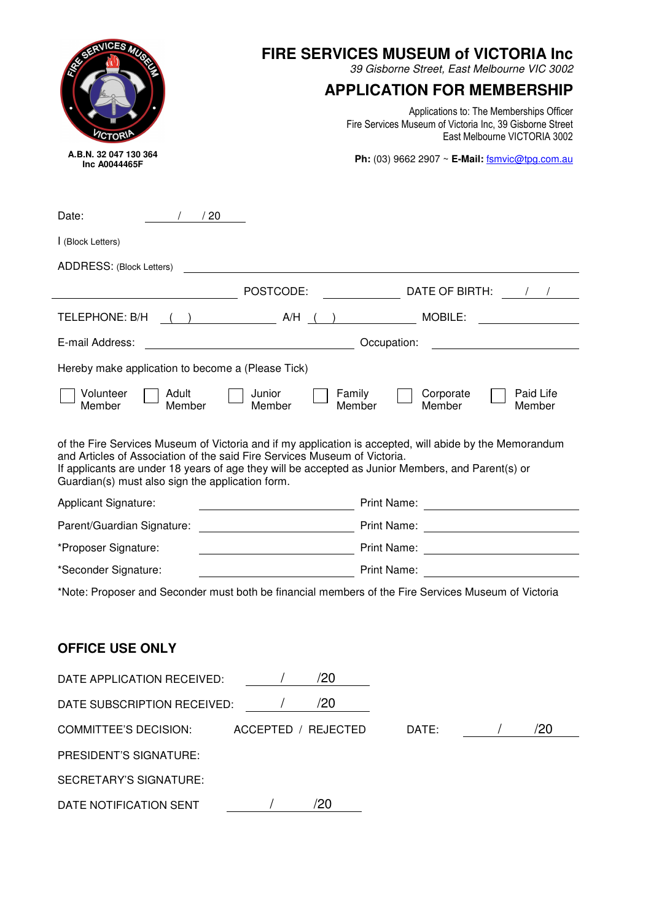| RESERVICES MUSI                                                                                                                                                                                                                    | <b>FIRE SERVICES MUSEUM of VICTORIA Inc</b><br>39 Gisborne Street, East Melbourne VIC 3002                                           |                                                                                                                                                                                                                                     |  |  |
|------------------------------------------------------------------------------------------------------------------------------------------------------------------------------------------------------------------------------------|--------------------------------------------------------------------------------------------------------------------------------------|-------------------------------------------------------------------------------------------------------------------------------------------------------------------------------------------------------------------------------------|--|--|
|                                                                                                                                                                                                                                    | <b>APPLICATION FOR MEMBERSHIP</b>                                                                                                    |                                                                                                                                                                                                                                     |  |  |
| <b>CTORI</b>                                                                                                                                                                                                                       | Applications to: The Memberships Officer<br>Fire Services Museum of Victoria Inc, 39 Gisborne Street<br>East Melbourne VICTORIA 3002 |                                                                                                                                                                                                                                     |  |  |
| A.B.N. 32 047 130 364<br>Inc A0044465F                                                                                                                                                                                             |                                                                                                                                      | Ph: (03) 9662 2907 $\sim$ E-Mail: fsmvic@tpg.com.au                                                                                                                                                                                 |  |  |
|                                                                                                                                                                                                                                    |                                                                                                                                      |                                                                                                                                                                                                                                     |  |  |
| 20<br>Date:                                                                                                                                                                                                                        |                                                                                                                                      |                                                                                                                                                                                                                                     |  |  |
| I (Block Letters)                                                                                                                                                                                                                  |                                                                                                                                      |                                                                                                                                                                                                                                     |  |  |
| ADDRESS: (Block Letters)                                                                                                                                                                                                           |                                                                                                                                      |                                                                                                                                                                                                                                     |  |  |
|                                                                                                                                                                                                                                    | POSTCODE:                                                                                                                            | DATE OF BIRTH:                                                                                                                                                                                                                      |  |  |
| TELEPHONE: B/H                                                                                                                                                                                                                     | $(A/H$ ( )                                                                                                                           | MOBILE:                                                                                                                                                                                                                             |  |  |
| E-mail Address:                                                                                                                                                                                                                    |                                                                                                                                      | Occupation:                                                                                                                                                                                                                         |  |  |
| Hereby make application to become a (Please Tick)                                                                                                                                                                                  |                                                                                                                                      |                                                                                                                                                                                                                                     |  |  |
| Volunteer<br>Adult<br>Member<br>Member                                                                                                                                                                                             | Junior<br>Member                                                                                                                     | Family<br>Corporate<br>Paid Life<br>Member<br>Member<br>Member                                                                                                                                                                      |  |  |
| and Articles of Association of the said Fire Services Museum of Victoria.<br>If applicants are under 18 years of age they will be accepted as Junior Members, and Parent(s) or<br>Guardian(s) must also sign the application form. |                                                                                                                                      | of the Fire Services Museum of Victoria and if my application is accepted, will abide by the Memorandum                                                                                                                             |  |  |
| <b>Applicant Signature:</b>                                                                                                                                                                                                        |                                                                                                                                      | Print Name:                                                                                                                                                                                                                         |  |  |
| Parent/Guardian Signature:                                                                                                                                                                                                         |                                                                                                                                      | Print Name:                                                                                                                                                                                                                         |  |  |
| *Proposer Signature:                                                                                                                                                                                                               |                                                                                                                                      |                                                                                                                                                                                                                                     |  |  |
| *Seconder Signature:                                                                                                                                                                                                               |                                                                                                                                      | <b>Market Community Community Print Name:</b> 2004. 2007. 2008. 2009. 2012. 2014. 2014. 2014. 2014. 2014. 2014. 2014. 2014. 2014. 2014. 2014. 2014. 2014. 2014. 2014. 2014. 2014. 2014. 2014. 2014. 2014. 2014. 2014. 2014. 2014. 2 |  |  |
|                                                                                                                                                                                                                                    |                                                                                                                                      | *Note: Proposer and Seconder must both be financial members of the Fire Services Museum of Victoria                                                                                                                                 |  |  |
|                                                                                                                                                                                                                                    |                                                                                                                                      |                                                                                                                                                                                                                                     |  |  |
| <b>OFFICE USE ONLY</b>                                                                                                                                                                                                             |                                                                                                                                      |                                                                                                                                                                                                                                     |  |  |
| DATE APPLICATION RECEIVED:                                                                                                                                                                                                         | /20                                                                                                                                  |                                                                                                                                                                                                                                     |  |  |
| DATE SUBSCRIPTION RECEIVED:                                                                                                                                                                                                        | /20                                                                                                                                  |                                                                                                                                                                                                                                     |  |  |
| <b>COMMITTEE'S DECISION:</b>                                                                                                                                                                                                       | ACCEPTED / REJECTED                                                                                                                  | /20<br>DATE:                                                                                                                                                                                                                        |  |  |
| PRESIDENT'S SIGNATURE:                                                                                                                                                                                                             |                                                                                                                                      |                                                                                                                                                                                                                                     |  |  |
| <b>SECRETARY'S SIGNATURE:</b>                                                                                                                                                                                                      |                                                                                                                                      |                                                                                                                                                                                                                                     |  |  |
| DATE NOTIFICATION SENT                                                                                                                                                                                                             | /20                                                                                                                                  |                                                                                                                                                                                                                                     |  |  |
|                                                                                                                                                                                                                                    |                                                                                                                                      |                                                                                                                                                                                                                                     |  |  |